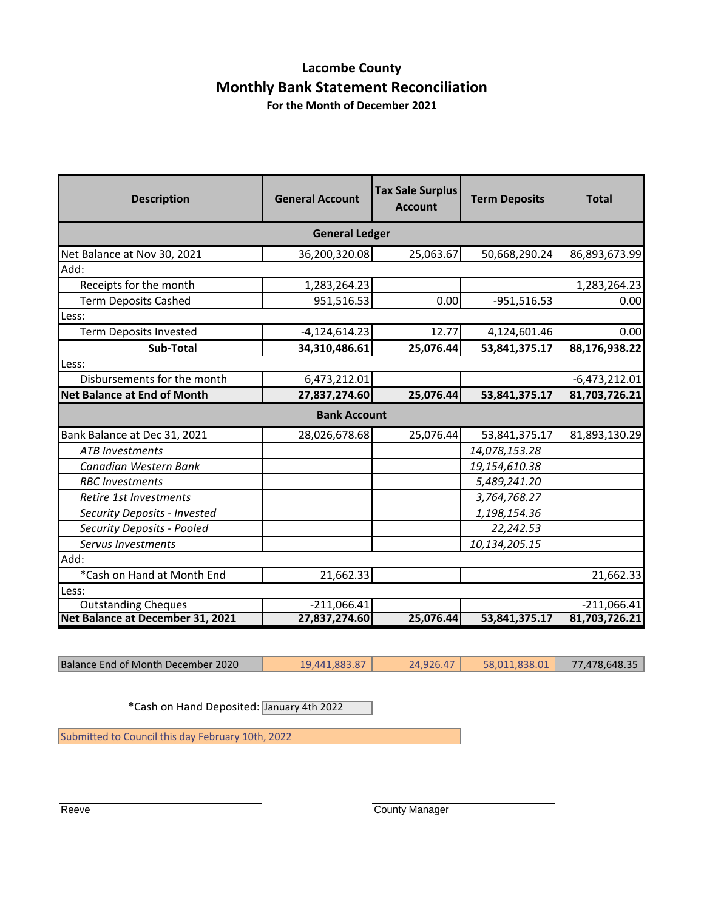#### **Lacombe County Monthly Bank Statement Reconciliation For the Month of December 2021**

**Description General Account Tax Sale Surplus Account Term Deposits Total** Net Balance at Nov 30, 2021 36,200,320.08 25,063.67 50,668,290.24 86,893,673.99 Receipts for the month 1,283,264.23 1,283,264.23 Term Deposits Cashed **1951,516.53** 0.00 -951,516.53 0.00 Term Deposits Invested 12.77 4,124,601.46 2000 12.77 4,124,601.46  **Sub-Total 34,310,486.61 25,076.44 53,841,375.17 88,176,938.22** Disbursements for the month  $6,473,212.01$   $-6,473,212.01$   $-6,473,212.01$ **Net Balance at End of Month 27,837,274.60 25,076.44 53,841,375.17 81,703,726.21** Bank Balance at Dec 31, 2021 | 28,026,678.68 | 25,076.44 | 53,841,375.17 | 81,893,130.29 *ATB Investments 14,078,153.28 Canadian Western Bank 19,154,610.38 RBC Investments 5,489,241.20 Retire 1st Investments 3,764,768.27 Security Deposits - Invested 1,198,154.36 Security Deposits - Pooled 22,242.53 Servus Investments 10,134,205.15*  $*$ Cash on Hand at Month End  $21,662.33$  21,682.33 Outstanding Cheques -211,066.41 -211,066.41 -211,066.41 -211,066.41 -211,066.41 -211,066.41 -211,066.41 -211,066.41 **Net Balance at December 31, 2021 General Ledger Bank Account** Add: Less: Less: Add: Less:

Balance End of Month December 2020 19,441,883.87 24,926.47 58,011,838.01 77,478,648.35

\*Cash on Hand Deposited: January 4th 2022

Submitted to Council this day February 10th, 2022

Reeve County Manager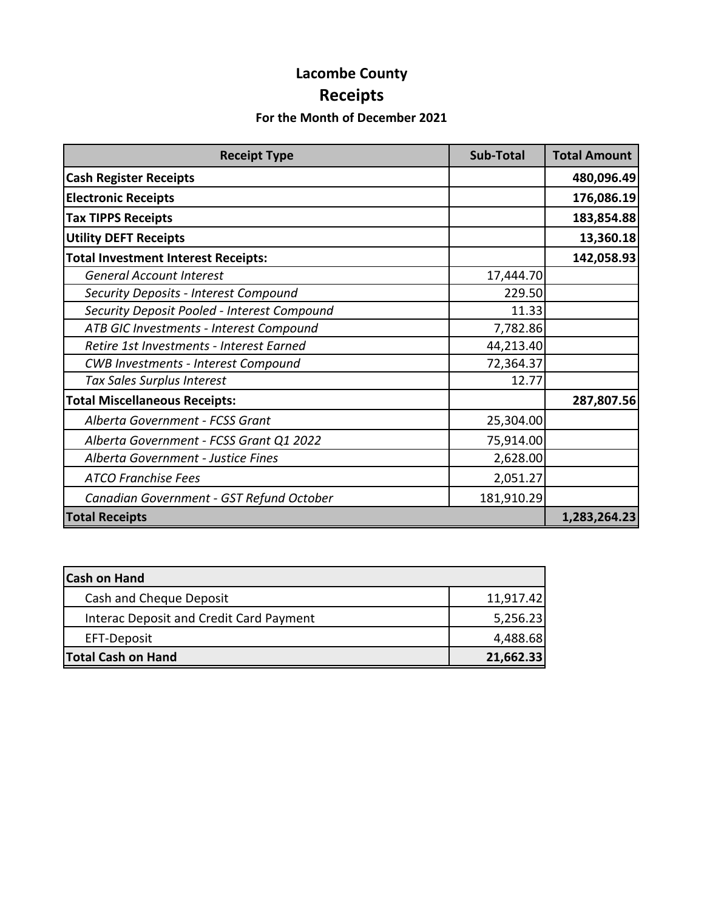# **Lacombe County Receipts**

## **For the Month of December 2021**

| <b>Receipt Type</b>                         | <b>Sub-Total</b> | <b>Total Amount</b> |
|---------------------------------------------|------------------|---------------------|
| <b>Cash Register Receipts</b>               |                  | 480,096.49          |
| <b>Electronic Receipts</b>                  |                  | 176,086.19          |
| <b>Tax TIPPS Receipts</b>                   |                  | 183,854.88          |
| <b>Utility DEFT Receipts</b>                |                  | 13,360.18           |
| <b>Total Investment Interest Receipts:</b>  |                  | 142,058.93          |
| <b>General Account Interest</b>             | 17,444.70        |                     |
| Security Deposits - Interest Compound       | 229.50           |                     |
| Security Deposit Pooled - Interest Compound | 11.33            |                     |
| ATB GIC Investments - Interest Compound     | 7,782.86         |                     |
| Retire 1st Investments - Interest Earned    | 44,213.40        |                     |
| <b>CWB Investments - Interest Compound</b>  | 72,364.37        |                     |
| Tax Sales Surplus Interest                  | 12.77            |                     |
| <b>Total Miscellaneous Receipts:</b>        |                  | 287,807.56          |
| Alberta Government - FCSS Grant             | 25,304.00        |                     |
| Alberta Government - FCSS Grant Q1 2022     | 75,914.00        |                     |
| Alberta Government - Justice Fines          | 2,628.00         |                     |
| <b>ATCO Franchise Fees</b>                  | 2,051.27         |                     |
| Canadian Government - GST Refund October    | 181,910.29       |                     |
| <b>Total Receipts</b>                       |                  | 1,283,264.23        |

| <b>Cash on Hand</b>                     |           |
|-----------------------------------------|-----------|
| Cash and Cheque Deposit                 | 11,917.42 |
| Interac Deposit and Credit Card Payment | 5,256.23  |
| EFT-Deposit                             | 4,488.68  |
| <b>Total Cash on Hand</b>               | 21,662.33 |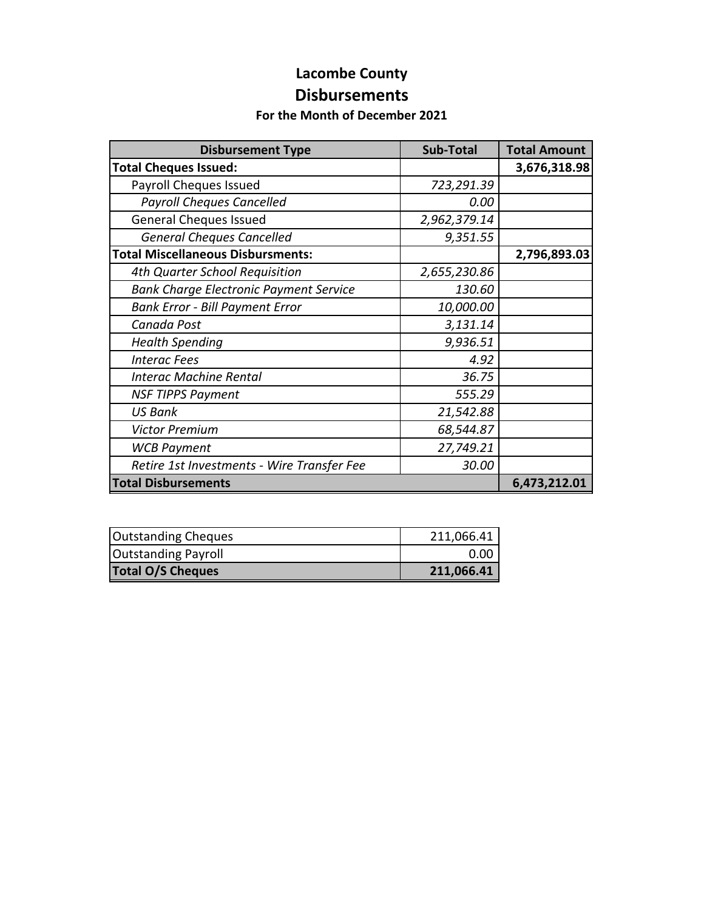## **Lacombe County Disbursements**

#### **For the Month of December 2021**

| <b>Disbursement Type</b>                      | <b>Sub-Total</b> | <b>Total Amount</b> |
|-----------------------------------------------|------------------|---------------------|
| <b>Total Cheques Issued:</b>                  |                  | 3,676,318.98        |
| Payroll Cheques Issued                        | 723,291.39       |                     |
| <b>Payroll Cheques Cancelled</b>              | 0.00             |                     |
| <b>General Cheques Issued</b>                 | 2,962,379.14     |                     |
| <b>General Cheques Cancelled</b>              | 9,351.55         |                     |
| <b>Total Miscellaneous Disbursments:</b>      |                  | 2,796,893.03        |
| 4th Quarter School Requisition                | 2,655,230.86     |                     |
| <b>Bank Charge Electronic Payment Service</b> | 130.60           |                     |
| <b>Bank Error - Bill Payment Error</b>        | 10,000.00        |                     |
| Canada Post                                   | 3,131.14         |                     |
| <b>Health Spending</b>                        | 9,936.51         |                     |
| <b>Interac Fees</b>                           | 4.92             |                     |
| <b>Interac Machine Rental</b>                 | 36.75            |                     |
| <b>NSF TIPPS Payment</b>                      | 555.29           |                     |
| <b>US Bank</b>                                | 21,542.88        |                     |
| <b>Victor Premium</b>                         | 68,544.87        |                     |
| <b>WCB Payment</b>                            | 27,749.21        |                     |
| Retire 1st Investments - Wire Transfer Fee    | 30.00            |                     |
| <b>Total Disbursements</b>                    |                  | 6,473,212.01        |

| <b>Outstanding Cheques</b> | 211,066.41 |
|----------------------------|------------|
| <b>Outstanding Payroll</b> | 0.00       |
| <b>Total O/S Cheques</b>   | 211,066.41 |